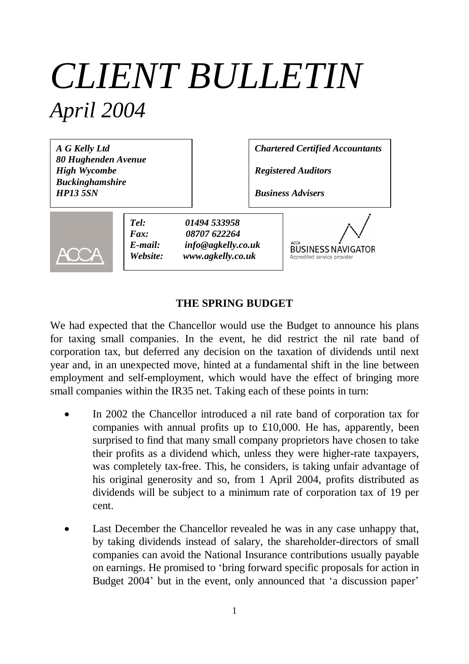# *CLIENT BULLETIN April 2004*

*A G Kelly Ltd 80 Hughenden Avenue High Wycombe Buckinghamshire HP13 5SN*

*Chartered Certified Accountants*

*Registered Auditors*

*Business Advisers*



*Tel: 01494 533958 Fax: 08707 622264 E-mail: info@agkelly.co.uk Website: www.agkelly.co.uk*

**BUSINESS NAVIGATOR** Accredited service provide

#### **THE SPRING BUDGET**

We had expected that the Chancellor would use the Budget to announce his plans for taxing small companies. In the event, he did restrict the nil rate band of corporation tax, but deferred any decision on the taxation of dividends until next year and, in an unexpected move, hinted at a fundamental shift in the line between employment and self-employment, which would have the effect of bringing more small companies within the IR35 net. Taking each of these points in turn:

- In 2002 the Chancellor introduced a nil rate band of corporation tax for companies with annual profits up to £10,000. He has, apparently, been surprised to find that many small company proprietors have chosen to take their profits as a dividend which, unless they were higher-rate taxpayers, was completely tax-free. This, he considers, is taking unfair advantage of his original generosity and so, from 1 April 2004, profits distributed as dividends will be subject to a minimum rate of corporation tax of 19 per cent.
- Last December the Chancellor revealed he was in any case unhappy that, by taking dividends instead of salary, the shareholder-directors of small companies can avoid the National Insurance contributions usually payable on earnings. He promised to 'bring forward specific proposals for action in Budget 2004' but in the event, only announced that 'a discussion paper'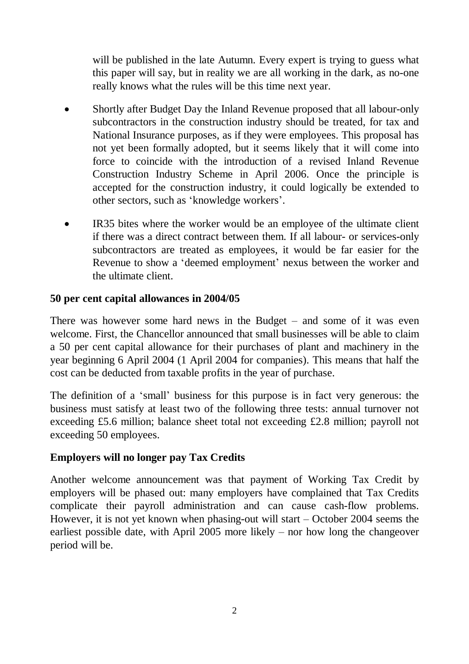will be published in the late Autumn. Every expert is trying to guess what this paper will say, but in reality we are all working in the dark, as no-one really knows what the rules will be this time next year.

- Shortly after Budget Day the Inland Revenue proposed that all labour-only subcontractors in the construction industry should be treated, for tax and National Insurance purposes, as if they were employees. This proposal has not yet been formally adopted, but it seems likely that it will come into force to coincide with the introduction of a revised Inland Revenue Construction Industry Scheme in April 2006. Once the principle is accepted for the construction industry, it could logically be extended to other sectors, such as 'knowledge workers'.
- IR35 bites where the worker would be an employee of the ultimate client if there was a direct contract between them. If all labour- or services-only subcontractors are treated as employees, it would be far easier for the Revenue to show a 'deemed employment' nexus between the worker and the ultimate client.

## **50 per cent capital allowances in 2004/05**

There was however some hard news in the Budget – and some of it was even welcome. First, the Chancellor announced that small businesses will be able to claim a 50 per cent capital allowance for their purchases of plant and machinery in the year beginning 6 April 2004 (1 April 2004 for companies). This means that half the cost can be deducted from taxable profits in the year of purchase.

The definition of a 'small' business for this purpose is in fact very generous: the business must satisfy at least two of the following three tests: annual turnover not exceeding £5.6 million; balance sheet total not exceeding £2.8 million; payroll not exceeding 50 employees.

## **Employers will no longer pay Tax Credits**

Another welcome announcement was that payment of Working Tax Credit by employers will be phased out: many employers have complained that Tax Credits complicate their payroll administration and can cause cash-flow problems. However, it is not yet known when phasing-out will start – October 2004 seems the earliest possible date, with April 2005 more likely – nor how long the changeover period will be.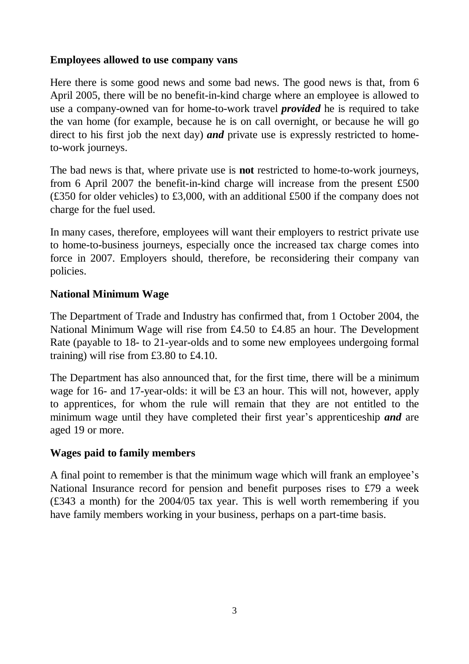## **Employees allowed to use company vans**

Here there is some good news and some bad news. The good news is that, from 6 April 2005, there will be no benefit-in-kind charge where an employee is allowed to use a company-owned van for home-to-work travel *provided* he is required to take the van home (for example, because he is on call overnight, or because he will go direct to his first job the next day) *and* private use is expressly restricted to hometo-work journeys.

The bad news is that, where private use is **not** restricted to home-to-work journeys, from 6 April 2007 the benefit-in-kind charge will increase from the present £500 (£350 for older vehicles) to £3,000, with an additional £500 if the company does not charge for the fuel used.

In many cases, therefore, employees will want their employers to restrict private use to home-to-business journeys, especially once the increased tax charge comes into force in 2007. Employers should, therefore, be reconsidering their company van policies.

### **National Minimum Wage**

The Department of Trade and Industry has confirmed that, from 1 October 2004, the National Minimum Wage will rise from £4.50 to £4.85 an hour. The Development Rate (payable to 18- to 21-year-olds and to some new employees undergoing formal training) will rise from £3.80 to £4.10.

The Department has also announced that, for the first time, there will be a minimum wage for 16- and 17-year-olds: it will be £3 an hour. This will not, however, apply to apprentices, for whom the rule will remain that they are not entitled to the minimum wage until they have completed their first year's apprenticeship *and* are aged 19 or more.

#### **Wages paid to family members**

A final point to remember is that the minimum wage which will frank an employee's National Insurance record for pension and benefit purposes rises to £79 a week (£343 a month) for the 2004/05 tax year. This is well worth remembering if you have family members working in your business, perhaps on a part-time basis.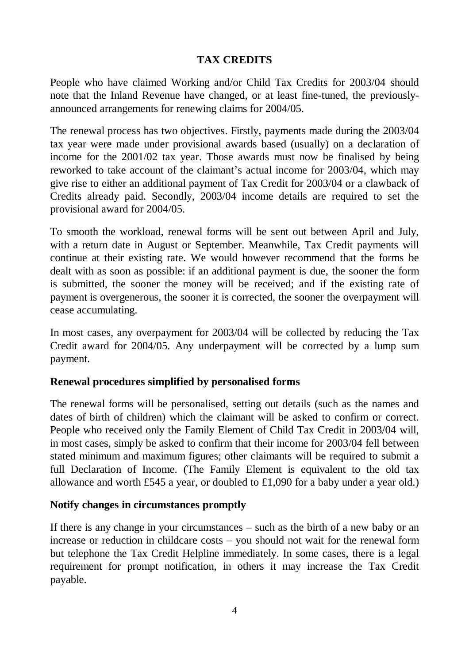## **TAX CREDITS**

People who have claimed Working and/or Child Tax Credits for 2003/04 should note that the Inland Revenue have changed, or at least fine-tuned, the previouslyannounced arrangements for renewing claims for 2004/05.

The renewal process has two objectives. Firstly, payments made during the 2003/04 tax year were made under provisional awards based (usually) on a declaration of income for the 2001/02 tax year. Those awards must now be finalised by being reworked to take account of the claimant's actual income for 2003/04, which may give rise to either an additional payment of Tax Credit for 2003/04 or a clawback of Credits already paid. Secondly, 2003/04 income details are required to set the provisional award for 2004/05.

To smooth the workload, renewal forms will be sent out between April and July, with a return date in August or September. Meanwhile, Tax Credit payments will continue at their existing rate. We would however recommend that the forms be dealt with as soon as possible: if an additional payment is due, the sooner the form is submitted, the sooner the money will be received; and if the existing rate of payment is overgenerous, the sooner it is corrected, the sooner the overpayment will cease accumulating.

In most cases, any overpayment for 2003/04 will be collected by reducing the Tax Credit award for 2004/05. Any underpayment will be corrected by a lump sum payment.

## **Renewal procedures simplified by personalised forms**

The renewal forms will be personalised, setting out details (such as the names and dates of birth of children) which the claimant will be asked to confirm or correct. People who received only the Family Element of Child Tax Credit in 2003/04 will, in most cases, simply be asked to confirm that their income for 2003/04 fell between stated minimum and maximum figures; other claimants will be required to submit a full Declaration of Income. (The Family Element is equivalent to the old tax allowance and worth £545 a year, or doubled to £1,090 for a baby under a year old.)

## **Notify changes in circumstances promptly**

If there is any change in your circumstances – such as the birth of a new baby or an increase or reduction in childcare costs – you should not wait for the renewal form but telephone the Tax Credit Helpline immediately. In some cases, there is a legal requirement for prompt notification, in others it may increase the Tax Credit payable.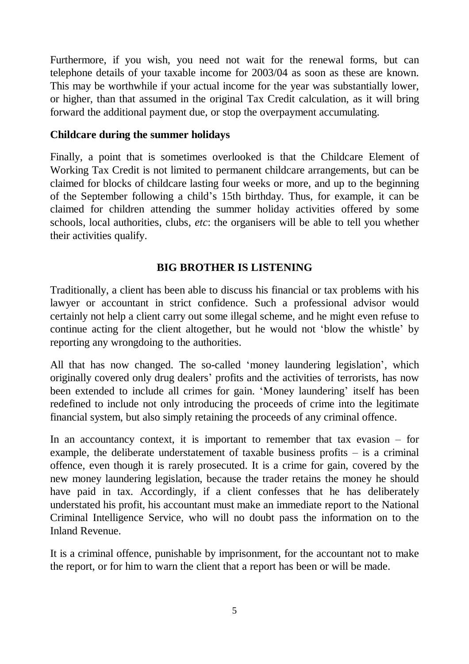Furthermore, if you wish, you need not wait for the renewal forms, but can telephone details of your taxable income for 2003/04 as soon as these are known. This may be worthwhile if your actual income for the year was substantially lower, or higher, than that assumed in the original Tax Credit calculation, as it will bring forward the additional payment due, or stop the overpayment accumulating.

## **Childcare during the summer holidays**

Finally, a point that is sometimes overlooked is that the Childcare Element of Working Tax Credit is not limited to permanent childcare arrangements, but can be claimed for blocks of childcare lasting four weeks or more, and up to the beginning of the September following a child's 15th birthday. Thus, for example, it can be claimed for children attending the summer holiday activities offered by some schools, local authorities, clubs, *etc*: the organisers will be able to tell you whether their activities qualify.

## **BIG BROTHER IS LISTENING**

Traditionally, a client has been able to discuss his financial or tax problems with his lawyer or accountant in strict confidence. Such a professional advisor would certainly not help a client carry out some illegal scheme, and he might even refuse to continue acting for the client altogether, but he would not 'blow the whistle' by reporting any wrongdoing to the authorities.

All that has now changed. The so-called 'money laundering legislation', which originally covered only drug dealers' profits and the activities of terrorists, has now been extended to include all crimes for gain. 'Money laundering' itself has been redefined to include not only introducing the proceeds of crime into the legitimate financial system, but also simply retaining the proceeds of any criminal offence.

In an accountancy context, it is important to remember that tax evasion  $-$  for example, the deliberate understatement of taxable business profits – is a criminal offence, even though it is rarely prosecuted. It is a crime for gain, covered by the new money laundering legislation, because the trader retains the money he should have paid in tax. Accordingly, if a client confesses that he has deliberately understated his profit, his accountant must make an immediate report to the National Criminal Intelligence Service, who will no doubt pass the information on to the Inland Revenue.

It is a criminal offence, punishable by imprisonment, for the accountant not to make the report, or for him to warn the client that a report has been or will be made.